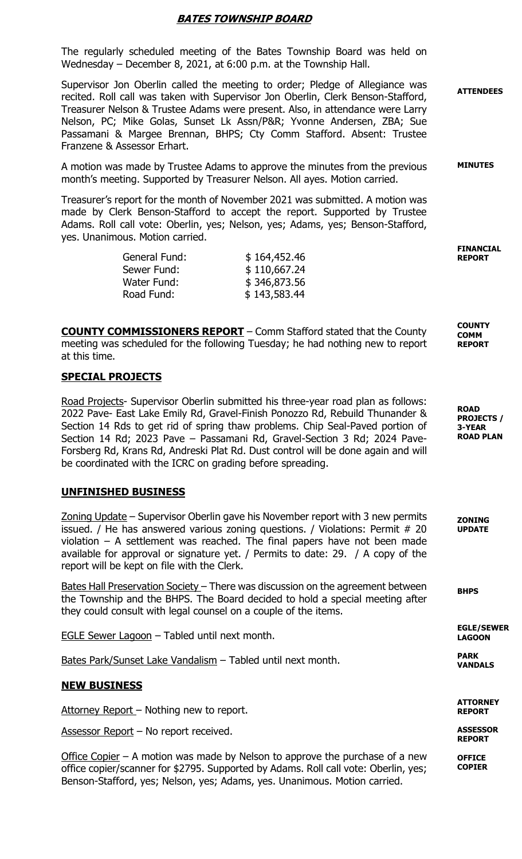# BATES TOWNSHIP BOARD

The regularly scheduled meeting of the Bates Township Board was held on Wednesday – December 8, 2021, at 6:00 p.m. at the Township Hall.

Supervisor Jon Oberlin called the meeting to order; Pledge of Allegiance was recited. Roll call was taken with Supervisor Jon Oberlin, Clerk Benson-Stafford, Treasurer Nelson & Trustee Adams were present. Also, in attendance were Larry Nelson, PC; Mike Golas, Sunset Lk Assn/P&R; Yvonne Andersen, ZBA; Sue Passamani & Margee Brennan, BHPS; Cty Comm Stafford. Absent: Trustee Franzene & Assessor Erhart. **ATTENDEES** 

A motion was made by Trustee Adams to approve the minutes from the previous month's meeting. Supported by Treasurer Nelson. All ayes. Motion carried.

Treasurer's report for the month of November 2021 was submitted. A motion was made by Clerk Benson-Stafford to accept the report. Supported by Trustee Adams. Roll call vote: Oberlin, yes; Nelson, yes; Adams, yes; Benson-Stafford, yes. Unanimous. Motion carried.

| \$164,452.46 |
|--------------|
| \$110,667.24 |
| \$346,873.56 |
| \$143,583.44 |
|              |

COUNTY COMMISSIONERS REPORT – Comm Stafford stated that the County meeting was scheduled for the following Tuesday; he had nothing new to report at this time.

### SPECIAL PROJECTS

Road Projects- Supervisor Oberlin submitted his three-year road plan as follows: 2022 Pave- East Lake Emily Rd, Gravel-Finish Ponozzo Rd, Rebuild Thunander & Section 14 Rds to get rid of spring thaw problems. Chip Seal-Paved portion of Section 14 Rd; 2023 Pave – Passamani Rd, Gravel-Section 3 Rd; 2024 Pave-Forsberg Rd, Krans Rd, Andreski Plat Rd. Dust control will be done again and will be coordinated with the ICRC on grading before spreading.

#### UNFINISHED BUSINESS

Zoning Update – Supervisor Oberlin gave his November report with 3 new permits issued. / He has answered various zoning questions. / Violations: Permit # 20 violation – A settlement was reached. The final papers have not been made available for approval or signature yet. / Permits to date: 29. / A copy of the report will be kept on file with the Clerk.

Bates Hall Preservation Society – There was discussion on the agreement between the Township and the BHPS. The Board decided to hold a special meeting after they could consult with legal counsel on a couple of the items.

EGLE Sewer Lagoon – Tabled until next month.

Bates Park/Sunset Lake Vandalism – Tabled until next month.

#### NEW BUSINESS

Attorney Report – Nothing new to report.

Assessor Report – No report received.

Office Copier – A motion was made by Nelson to approve the purchase of a new office copier/scanner for \$2795. Supported by Adams. Roll call vote: Oberlin, yes; Benson-Stafford, yes; Nelson, yes; Adams, yes. Unanimous. Motion carried.

ROAD PROJECTS / 3-YEAR ROAD PLAN

ZONING UPDATE

**BHPS** 

MINUTES

FINANCIAL REPORT

**COUNTY** COMM REPORT

EGLE/SEWER LAGOON

PARK

VANDALS

**ATTORNEY** REPORT

ASSESSOR REPORT

**OFFICE** COPIER